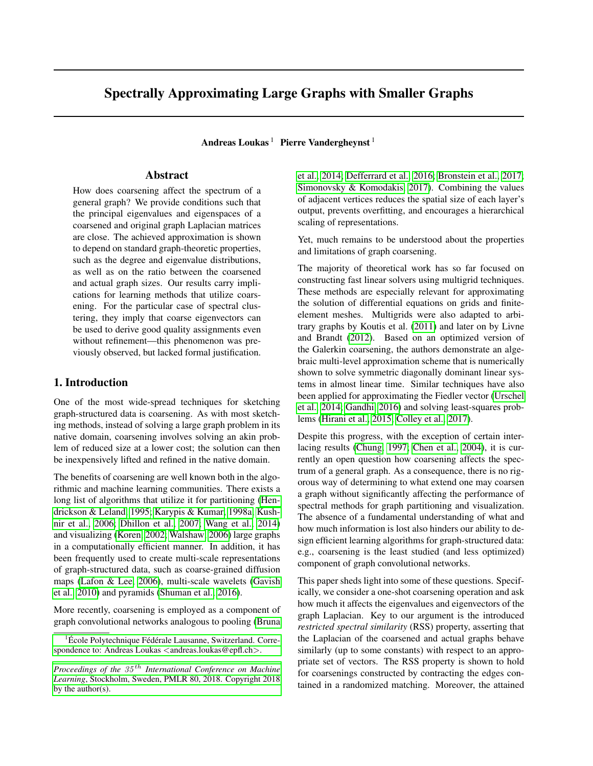# Spectrally Approximating Large Graphs with Smaller Graphs

Andreas Loukas<sup>1</sup> Pierre Vandergheynst<sup>1</sup>

# Abstract

How does coarsening affect the spectrum of a general graph? We provide conditions such that the principal eigenvalues and eigenspaces of a coarsened and original graph Laplacian matrices are close. The achieved approximation is shown to depend on standard graph-theoretic properties, such as the degree and eigenvalue distributions, as well as on the ratio between the coarsened and actual graph sizes. Our results carry implications for learning methods that utilize coarsening. For the particular case of spectral clustering, they imply that coarse eigenvectors can be used to derive good quality assignments even without refinement—this phenomenon was previously observed, but lacked formal justification.

# 1. Introduction

One of the most wide-spread techniques for sketching graph-structured data is coarsening. As with most sketching methods, instead of solving a large graph problem in its native domain, coarsening involves solving an akin problem of reduced size at a lower cost; the solution can then be inexpensively lifted and refined in the native domain.

The benefits of coarsening are well known both in the algorithmic and machine learning communities. There exists a long list of algorithms that utilize it for partitioning [\(Hen](#page-8-0)[drickson & Leland, 1995;](#page-8-0) [Karypis & Kumar, 1998a;](#page-8-1) [Kush](#page-8-2)[nir et al., 2006;](#page-8-2) [Dhillon et al., 2007;](#page-8-3) [Wang et al., 2014\)](#page-9-0) and visualizing [\(Koren, 2002;](#page-8-4) [Walshaw, 2006\)](#page-9-1) large graphs in a computationally efficient manner. In addition, it has been frequently used to create multi-scale representations of graph-structured data, such as coarse-grained diffusion maps [\(Lafon & Lee, 2006\)](#page-8-5), multi-scale wavelets [\(Gavish](#page-8-6) [et al., 2010\)](#page-8-6) and pyramids [\(Shuman et al., 2016\)](#page-9-2).

More recently, coarsening is employed as a component of graph convolutional networks analogous to pooling [\(Bruna](#page-8-7)

[et al., 2014;](#page-8-7) [Defferrard et al., 2016;](#page-8-8) [Bronstein et al., 2017;](#page-8-9) [Simonovsky & Komodakis, 2017\)](#page-9-3). Combining the values of adjacent vertices reduces the spatial size of each layer's output, prevents overfitting, and encourages a hierarchical scaling of representations.

Yet, much remains to be understood about the properties and limitations of graph coarsening.

The majority of theoretical work has so far focused on constructing fast linear solvers using multigrid techniques. These methods are especially relevant for approximating the solution of differential equations on grids and finiteelement meshes. Multigrids were also adapted to arbitrary graphs by Koutis et al. [\(2011\)](#page-8-10) and later on by Livne and Brandt [\(2012\)](#page-8-11). Based on an optimized version of the Galerkin coarsening, the authors demonstrate an algebraic multi-level approximation scheme that is numerically shown to solve symmetric diagonally dominant linear systems in almost linear time. Similar techniques have also been applied for approximating the Fiedler vector [\(Urschel](#page-9-4) [et al., 2014;](#page-9-4) [Gandhi, 2016\)](#page-8-12) and solving least-squares problems [\(Hirani et al., 2015;](#page-8-13) [Colley et al., 2017\)](#page-8-14).

Despite this progress, with the exception of certain interlacing results [\(Chung, 1997;](#page-8-15) [Chen et al., 2004\)](#page-8-16), it is currently an open question how coarsening affects the spectrum of a general graph. As a consequence, there is no rigorous way of determining to what extend one may coarsen a graph without significantly affecting the performance of spectral methods for graph partitioning and visualization. The absence of a fundamental understanding of what and how much information is lost also hinders our ability to design efficient learning algorithms for graph-structured data: e.g., coarsening is the least studied (and less optimized) component of graph convolutional networks.

This paper sheds light into some of these questions. Specifically, we consider a one-shot coarsening operation and ask how much it affects the eigenvalues and eigenvectors of the graph Laplacian. Key to our argument is the introduced *restricted spectral similarity* (RSS) property, asserting that the Laplacian of the coarsened and actual graphs behave similarly (up to some constants) with respect to an appropriate set of vectors. The RSS property is shown to hold for coarsenings constructed by contracting the edges contained in a randomized matching. Moreover, the attained

 ${}^{1}$ École Polytechnique Fédérale Lausanne, Switzerland. Corre[spondence to: Andreas Loukas](#page-8-7) <andreas.loukas@epfl.ch>.

*Proceedings of the* 35 th *[International Conference on Machine](#page-8-7) Learning*[, Stockholm, Sweden, PMLR 80, 2018. Copyright 2018](#page-8-7) [by the author\(s\).](#page-8-7)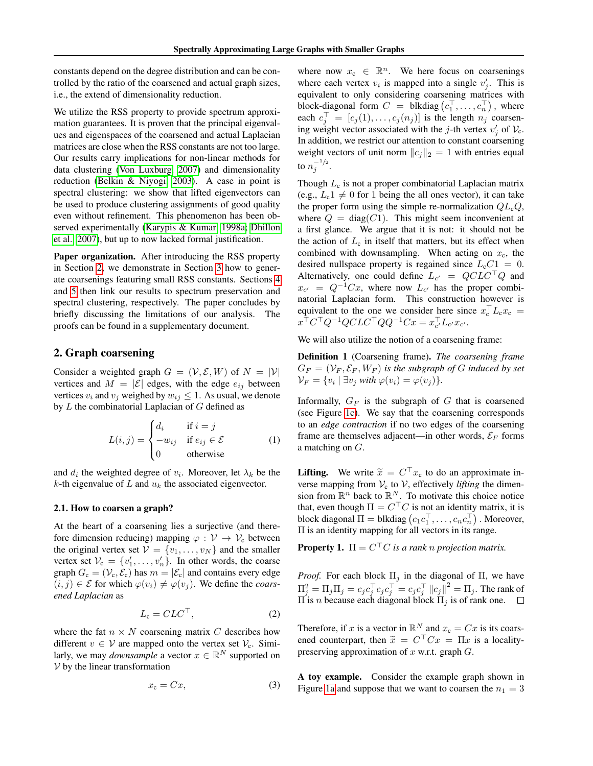constants depend on the degree distribution and can be controlled by the ratio of the coarsened and actual graph sizes, i.e., the extend of dimensionality reduction.

We utilize the RSS property to provide spectrum approximation guarantees. It is proven that the principal eigenvalues and eigenspaces of the coarsened and actual Laplacian matrices are close when the RSS constants are not too large. Our results carry implications for non-linear methods for data clustering [\(Von Luxburg, 2007\)](#page-9-5) and dimensionality reduction [\(Belkin & Niyogi, 2003\)](#page-8-17). A case in point is spectral clustering: we show that lifted eigenvectors can be used to produce clustering assignments of good quality even without refinement. This phenomenon has been observed experimentally [\(Karypis & Kumar, 1998a;](#page-8-1) [Dhillon](#page-8-3) [et al., 2007\)](#page-8-3), but up to now lacked formal justification.

Paper organization. After introducing the RSS property in Section [2,](#page-1-0) we demonstrate in Section [3](#page-2-0) how to generate coarsenings featuring small RSS constants. Sections [4](#page-5-0) and [5](#page-6-0) then link our results to spectrum preservation and spectral clustering, respectively. The paper concludes by briefly discussing the limitations of our analysis. The proofs can be found in a supplementary document.

# <span id="page-1-0"></span>2. Graph coarsening

Consider a weighted graph  $G = (\mathcal{V}, \mathcal{E}, W)$  of  $N = |\mathcal{V}|$ vertices and  $M = |\mathcal{E}|$  edges, with the edge  $e_{ij}$  between vertices  $v_i$  and  $v_j$  weighed by  $w_{ij} \leq 1$ . As usual, we denote by  $L$  the combinatorial Laplacian of  $G$  defined as

$$
L(i,j) = \begin{cases} d_i & \text{if } i = j \\ -w_{ij} & \text{if } e_{ij} \in \mathcal{E} \\ 0 & \text{otherwise} \end{cases}
$$
 (1)

and  $d_i$  the weighted degree of  $v_i$ . Moreover, let  $\lambda_k$  be the  $k$ -th eigenvalue of  $L$  and  $u_k$  the associated eigenvector.

#### 2.1. How to coarsen a graph?

At the heart of a coarsening lies a surjective (and therefore dimension reducing) mapping  $\varphi : \mathcal{V} \to \mathcal{V}_c$  between the original vertex set  $V = \{v_1, \ldots, v_N\}$  and the smaller vertex set  $V_c = \{v'_1, \ldots, v'_n\}$ . In other words, the coarse graph  $G_c = (\mathcal{V}_c, \mathcal{E}_c)$  has  $m = |\mathcal{E}_c|$  and contains every edge  $(i, j) \in \mathcal{E}$  for which  $\varphi(v_i) \neq \varphi(v_j)$ . We define the *coarsened Laplacian* as

$$
L_{\rm c} = CLC^{\top},\tag{2}
$$

where the fat  $n \times N$  coarsening matrix C describes how different  $v \in V$  are mapped onto the vertex set  $V_c$ . Similarly, we may *downsample* a vector  $x \in \mathbb{R}^N$  supported on  $V$  by the linear transformation

$$
x_{\rm c} = Cx,\tag{3}
$$

where now  $x_c \in \mathbb{R}^n$ . We here focus on coarsenings where each vertex  $v_i$  is mapped into a single  $v'_j$ . This is equivalent to only considering coarsening matrices with block-diagonal form  $C =$  blkdiag  $(c_1^\top, \ldots, c_n^\top)$  , where each  $c_j^{\top} = [c_j(1), \dots, c_j(n_j)]$  is the length  $n_j$  coarsening weight vector associated with the j-th vertex  $v'_j$  of  $V_c$ . In addition, we restrict our attention to constant coarsening weight vectors of unit norm  $||c_j||_2 = 1$  with entries equal to  $n_j^{-1/2}$ .

Though  $L_c$  is not a proper combinatorial Laplacian matrix (e.g.,  $L_c1 \neq 0$  for 1 being the all ones vector), it can take the proper form using the simple re-normalization  $QL_cQ$ , where  $Q = \text{diag}(C1)$ . This might seem inconvenient at a first glance. We argue that it is not: it should not be the action of  $L_c$  in itself that matters, but its effect when combined with downsampling. When acting on  $x_c$ , the desired nullspace property is regained since  $L_cC_1 = 0$ . Alternatively, one could define  $L_{c'} = QCLC^\top Q$  and  $x_{c'} = Q^{-1}Cx$ , where now  $L_{c'}$  has the proper combinatorial Laplacian form. This construction however is equivalent to the one we consider here since  $x_c^{\top} L_c x_c =$  $x^{\top} C^{\top} Q^{-1} Q C L C^{\top} Q Q^{-1} C x = x_{c'}^{\top} L_{c'} x_{c'}$ 

We will also utilize the notion of a coarsening frame:

Definition 1 (Coarsening frame). *The coarsening frame*  $G_F = (V_F, \mathcal{E}_F, W_F)$  *is the subgraph of G induced by set*  $\mathcal{V}_F = \{v_i \mid \exists v_j \text{ with } \varphi(v_i) = \varphi(v_j)\}.$ 

Informally,  $G_F$  is the subgraph of G that is coarsened (see Figure [1c\)](#page-2-1). We say that the coarsening corresponds to an *edge contraction* if no two edges of the coarsening frame are themselves adjacent—in other words,  $\mathcal{E}_F$  forms a matching on G.

**Lifting.** We write  $\tilde{x} = C^{\top} x_c$  to do an approximate inverse mapping from  $V_c$  to V, effectively *lifting* the dimension from  $\mathbb{R}^n$  back to  $\mathbb{R}^N$ . To motivate this choice notice that, even though  $\Pi = C<sup>T</sup>C$  is not an identity matrix, it is block diagonal  $\Pi =$  blkdiag  $(c_1 c_1^\top, \dots, c_n c_n^\top)$  . Moreover,  $\Pi$  is an identity mapping for all vectors in its range.

**Property 1.**  $\Pi = C^{\top}C$  is a rank n projection matrix.

*Proof.* For each block  $\Pi_i$  in the diagonal of  $\Pi$ , we have  $\Pi_j^2 = \Pi_j \Pi_j = c_j c_j^\top c_j c_j^\top = c_j c_j^\top ||c_j||^2 = \Pi_j$ . The rank of  $\Pi$  is *n* because each diagonal block  $\Pi_j$  is of rank one.

<span id="page-1-1"></span>Therefore, if x is a vector in  $\mathbb{R}^N$  and  $x_c = Cx$  is its coarsened counterpart, then  $\tilde{x} = C^{\top}Cx = \Pi x$  is a locality-<br>preserving approximation of x w.r.t. graph C. preserving approximation of  $x$  w.r.t. graph  $G$ .

A toy example. Consider the example graph shown in Figure [1a](#page-2-2) and suppose that we want to coarsen the  $n_1 = 3$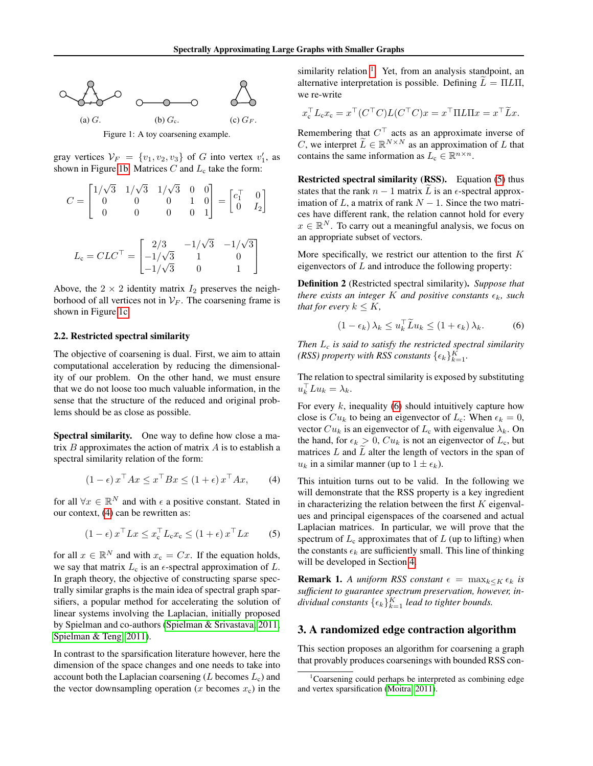<span id="page-2-3"></span><span id="page-2-2"></span>

gray vertices  $V_F = \{v_1, v_2, v_3\}$  of G into vertex  $v'_1$ , as

shown in Figure [1b.](#page-2-3) Matrices  $C$  and  $L_c$  take the form:

$$
C = \begin{bmatrix} 1/\sqrt{3} & 1/\sqrt{3} & 1/\sqrt{3} & 0 & 0 \\ 0 & 0 & 0 & 1 & 0 \\ 0 & 0 & 0 & 0 & 1 \end{bmatrix} = \begin{bmatrix} c_1^\top & 0 \\ 0 & I_2 \end{bmatrix}
$$

$$
L_{\rm c} = CLC^{\top} = \begin{bmatrix} 2/3 & -1/\sqrt{3} & -1/\sqrt{3} \\ -1/\sqrt{3} & 1 & 0 \\ -1/\sqrt{3} & 0 & 1 \end{bmatrix}
$$

Above, the  $2 \times 2$  identity matrix  $I_2$  preserves the neighborhood of all vertices not in  $V_F$ . The coarsening frame is shown in Figure [1c.](#page-2-1)

#### 2.2. Restricted spectral similarity

The objective of coarsening is dual. First, we aim to attain computational acceleration by reducing the dimensionality of our problem. On the other hand, we must ensure that we do not loose too much valuable information, in the sense that the structure of the reduced and original problems should be as close as possible.

Spectral similarity. One way to define how close a matrix  $B$  approximates the action of matrix  $A$  is to establish a spectral similarity relation of the form:

$$
(1 - \epsilon) x^\top A x \le x^\top B x \le (1 + \epsilon) x^\top A x, \qquad (4)
$$

for all  $\forall x \in \mathbb{R}^N$  and with  $\epsilon$  a positive constant. Stated in our context, [\(4\)](#page-2-4) can be rewritten as:

$$
(1 - \epsilon) x^{\top} L x \leq x_{\mathbf{c}}^{\top} L_{\mathbf{c}} x_{\mathbf{c}} \leq (1 + \epsilon) x^{\top} L x \qquad (5)
$$

for all  $x \in \mathbb{R}^N$  and with  $x_c = Cx$ . If the equation holds, we say that matrix  $L_c$  is an  $\epsilon$ -spectral approximation of  $L$ . In graph theory, the objective of constructing sparse spectrally similar graphs is the main idea of spectral graph sparsifiers, a popular method for accelerating the solution of linear systems involving the Laplacian, initially proposed by Spielman and co-authors [\(Spielman & Srivastava, 2011;](#page-9-6) [Spielman & Teng, 2011\)](#page-9-7).

In contrast to the sparsification literature however, here the dimension of the space changes and one needs to take into account both the Laplacian coarsening  $(L$  becomes  $L_c$ ) and the vector downsampling operation (x becomes  $x_c$ ) in the

similarity relation <sup>[1](#page-2-5)</sup>. Yet, from an analysis standpoint, an alternative interpretation is possible. Defining  $L = \Pi L \Pi$ , we re-write

<span id="page-2-1"></span>
$$
x_{c}^{\top}L_{c}x_{c} = x^{\top}(C^{\top}C)L(C^{\top}C)x = x^{\top}\Pi L\Pi x = x^{\top}\widetilde{L}x.
$$

Remembering that  $C<sup>T</sup>$  acts as an approximate inverse of C, we interpret  $\widetilde{L} \in \mathbb{R}^{N \times N}$  as an approximation of L that contains the same information as  $L_c \in \mathbb{R}^{n \times n}$ .

Restricted spectral similarity (RSS). Equation [\(5\)](#page-2-6) thus states that the rank  $n - 1$  matrix L is an  $\epsilon$ -spectral approximation of L, a matrix of rank  $N - 1$ . Since the two matrices have different rank, the relation cannot hold for every  $x \in \mathbb{R}^N$ . To carry out a meaningful analysis, we focus on an appropriate subset of vectors.

More specifically, we restrict our attention to the first  $K$ eigenvectors of  $L$  and introduce the following property:

Definition 2 (Restricted spectral similarity). *Suppose that there exists an integer* K *and positive constants*  $\epsilon_k$ *, such that for every*  $k \leq K$ ,

<span id="page-2-7"></span>
$$
(1 - \epsilon_k) \lambda_k \le u_k^{\top} \widetilde{L} u_k \le (1 + \epsilon_k) \lambda_k. \tag{6}
$$

*Then* L*<sup>c</sup> is said to satisfy the restricted spectral similarity (RSS) property with RSS constants*  $\{\epsilon_k\}_{k=1}^K$ .

The relation to spectral similarity is exposed by substituting  $u_k^{\top} L u_k = \lambda_k.$ 

For every  $k$ , inequality [\(6\)](#page-2-7) should intuitively capture how close is  $Cu_k$  to being an eigenvector of  $L_c$ : When  $\epsilon_k = 0$ , vector  $Cu_k$  is an eigenvector of  $L_c$  with eigenvalue  $\lambda_k$ . On the hand, for  $\epsilon_k > 0$ ,  $Cu_k$  is not an eigenvector of  $L_c$ , but matrices  $L$  and  $\overline{L}$  alter the length of vectors in the span of  $u_k$  in a similar manner (up to  $1 \pm \epsilon_k$ ).

<span id="page-2-6"></span><span id="page-2-4"></span>This intuition turns out to be valid. In the following we will demonstrate that the RSS property is a key ingredient in characterizing the relation between the first  $K$  eigenvalues and principal eigenspaces of the coarsened and actual Laplacian matrices. In particular, we will prove that the spectrum of  $L_c$  approximates that of  $L$  (up to lifting) when the constants  $\epsilon_k$  are sufficiently small. This line of thinking will be developed in Section [4.](#page-5-0)

**Remark 1.** *A uniform RSS constant*  $\epsilon = \max_{k \leq K} \epsilon_k$  *is sufficient to guarantee spectrum preservation, however, in* $dividual$  constants  $\{\epsilon_k\}_{k=1}^K$  *lead to tighter bounds.* 

# <span id="page-2-0"></span>3. A randomized edge contraction algorithm

This section proposes an algorithm for coarsening a graph that provably produces coarsenings with bounded RSS con-

<span id="page-2-5"></span> $1$ Coarsening could perhaps be interpreted as combining edge and vertex sparsification [\(Moitra, 2011\)](#page-9-8).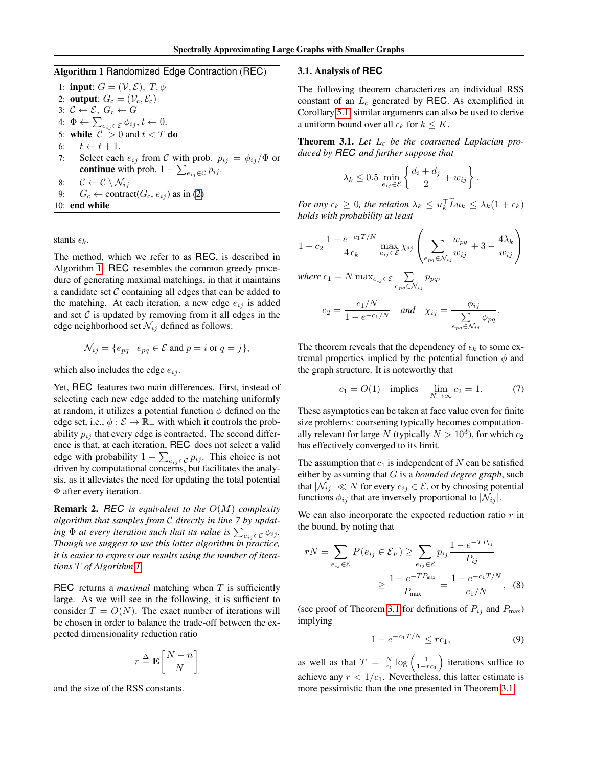# <span id="page-3-0"></span>Algorithm 1 Randomized Edge Contraction (REC)

1: input:  $G = (\mathcal{V}, \mathcal{E}), T, \phi$ 2: **output:**  $G_c = (\mathcal{V}_c, \mathcal{E}_c)$ 3:  $C \leftarrow \mathcal{E}, G_c \leftarrow G$ 4:  $\Phi \leftarrow \sum_{e_{ij} \in \mathcal{E}} \phi_{ij}, t \leftarrow 0.$ 5: while  $|C| > 0$  and  $t < T$  do<br>6:  $t \leftarrow t + 1$ . 6:  $t \leftarrow t + 1.$ <br>7: Select each Select each  $e_{ij}$  from C with prob.  $p_{ij} = \phi_{ij}/\Phi$  or **continue** with prob.  $1 - \sum_{e_{ij} \in \mathcal{C}} p_{ij}$ . 8:  $C \leftarrow C \setminus \mathcal{N}_{ij}$ <br>9:  $G_c \leftarrow \text{contra}$  $G_c \leftarrow \text{contract}(G_c, e_{ij})$  as in [\(2\)](#page-1-1) 10: end while

stants  $\epsilon_k$ .

The method, which we refer to as REC, is described in Algorithm [1.](#page-3-0) REC resembles the common greedy procedure of generating maximal matchings, in that it maintains a candidate set  $C$  containing all edges that can be added to the matching. At each iteration, a new edge  $e_{ij}$  is added and set  $C$  is updated by removing from it all edges in the edge neighborhood set  $\mathcal{N}_{ij}$  defined as follows:

$$
\mathcal{N}_{ij} = \{e_{pq} \mid e_{pq} \in \mathcal{E} \text{ and } p = i \text{ or } q = j\},\
$$

which also includes the edge  $e_{ij}$ .

Yet, REC features two main differences. First, instead of selecting each new edge added to the matching uniformly at random, it utilizes a potential function  $\phi$  defined on the edge set, i.e.,  $\phi : \mathcal{E} \to \mathbb{R}_+$  with which it controls the probability  $p_{ij}$  that every edge is contracted. The second difference is that, at each iteration, REC does not select a valid edge with probability  $1 - \sum_{e_{ij} \in C} p_{ij}$ . This choice is not driven by computational concerns, but facilitates the analysis, as it alleviates the need for updating the total potential Φ after every iteration.

Remark 2. *REC is equivalent to the* O(M) *complexity algorithm that samples from* C *directly in line 7 by updat*ing  $\Phi$  at every iteration such that its value is  $\sum_{e_{ij}\in\mathcal{C}}\phi_{ij}$ *. Though we suggest to use this latter algorithm in practice, it is easier to express our results using the number of iterations* T *of Algorithm [1.](#page-3-0)*

REC returns a *maximal* matching when T is sufficiently large. As we will see in the following, it is sufficient to consider  $T = O(N)$ . The exact number of iterations will be chosen in order to balance the trade-off between the expected dimensionality reduction ratio

$$
r \stackrel{\Delta}{=} \mathbf{E} \left[ \frac{N-n}{N} \right]
$$

and the size of the RSS constants.

#### <span id="page-3-3"></span>3.1. Analysis of **REC**

The following theorem characterizes an individual RSS constant of an  $L_c$  generated by REC. As exemplified in Corollary [5.1,](#page-7-0) similar argumenrs can also be used to derive a uniform bound over all  $\epsilon_k$  for  $k \leq K$ .

<span id="page-3-1"></span>Theorem 3.1. *Let* L*<sup>c</sup> be the coarsened Laplacian produced by REC and further suppose that*

$$
\lambda_k \le 0.5 \min_{e_{ij} \in \mathcal{E}} \left\{ \frac{d_i + d_j}{2} + w_{ij} \right\}.
$$

*For any*  $\epsilon_k \geq 0$ , the relation  $\lambda_k \leq u_k^{\top} \tilde{L} u_k \leq \lambda_k (1 + \epsilon_k)$ *holds with probability at least*

$$
1 - c_2 \frac{1 - e^{-c_1 T/N}}{4 \epsilon_k} \max_{e_{ij} \in \mathcal{E}} \chi_{ij} \left( \sum_{e_{pq} \in \mathcal{N}_{ij}} \frac{w_{pq}}{w_{ij}} + 3 - \frac{4 \lambda_k}{w_{ij}} \right)
$$

 $where \ c_1 = N \max_{e_{ij} \in \mathcal{E}} \sum_{e_{pq} \in \mathcal{N}_{ij}} p_{pq},$ 

$$
c_2 = \frac{c_1/N}{1 - e^{-c_1/N}} \quad \text{and} \quad \chi_{ij} = \frac{\phi_{ij}}{\sum\limits_{e_{pq} \in \mathcal{N}_{ij}} \phi_{pq}}.
$$

The theorem reveals that the dependency of  $\epsilon_k$  to some extremal properties implied by the potential function  $\phi$  and the graph structure. It is noteworthy that

$$
c_1 = O(1)
$$
 implies  $\lim_{N \to \infty} c_2 = 1.$  (7)

These asymptotics can be taken at face value even for finite size problems: coarsening typically becomes computationally relevant for large N (typically  $N > 10^3$ ), for which  $c_2$ has effectively converged to its limit.

The assumption that  $c_1$  is independent of N can be satisfied either by assuming that G is a *bounded degree graph*, such that  $|\mathcal{N}_{ij}| \ll N$  for every  $e_{ij} \in \mathcal{E}$ , or by choosing potential functions  $\phi_{ij}$  that are inversely proportional to  $|\mathcal{N}_{ij}|$ .

We can also incorporate the expected reduction ratio  $r$  in the bound, by noting that

$$
rN = \sum_{e_{ij} \in \mathcal{E}} P(e_{ij} \in \mathcal{E}_F) \ge \sum_{e_{ij} \in \mathcal{E}} p_{ij} \frac{1 - e^{-T P_{ij}}}{P_{ij}}
$$

$$
\ge \frac{1 - e^{-T P_{\text{max}}}}{P_{\text{max}}} = \frac{1 - e^{-c_1 T/N}}{c_1/N}, \quad (8)
$$

(see proof of Theorem [3.1](#page-3-1) for definitions of  $P_{ij}$  and  $P_{max}$ ) implying

<span id="page-3-2"></span>
$$
1 - e^{-c_1 T/N} \leq rc_1,
$$
 (9)

as well as that  $T = \frac{N}{c_1} \log \left( \frac{1}{1 - rc_1} \right)$  iterations suffice to achieve any  $r < 1/c_1$ . Nevertheless, this latter estimate is more pessimistic than the one presented in Theorem [3.1.](#page-3-1)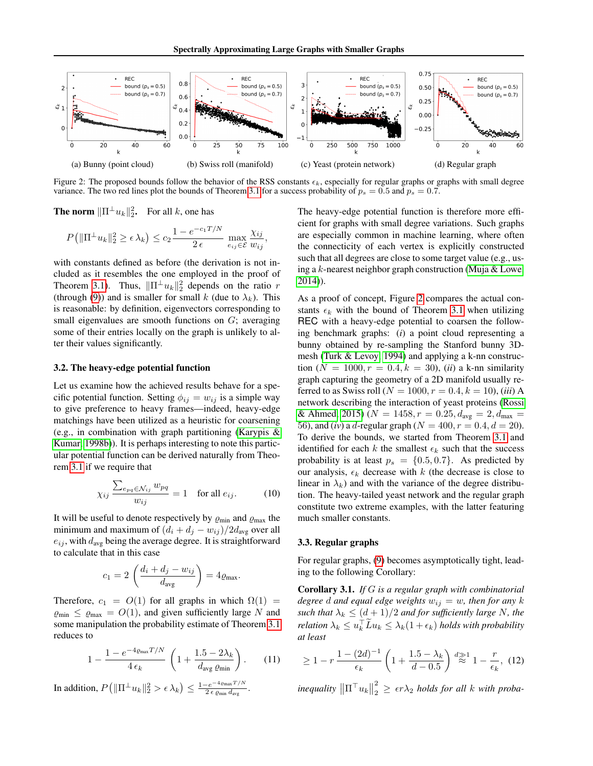<span id="page-4-0"></span>

Figure 2: The proposed bounds follow the behavior of the RSS constants  $\epsilon_k$ , especially for regular graphs or graphs with small degree variance. The two red lines plot the bounds of Theorem [3.1](#page-3-1) for a success probability of  $p_s = 0.5$  and  $p_s = 0.7$ .

**The norm**  $\|\Pi^{\perp}u_k\|_2^2$ . For all k, one has

$$
P\left(\|\Pi^{\perp} u_k\|_2^2 \ge \epsilon \lambda_k\right) \le c_2 \frac{1 - e^{-c_1 T/N}}{2 \epsilon} \max_{e_{ij} \in \mathcal{E}} \frac{\chi_{ij}}{w_{ij}},
$$

with constants defined as before (the derivation is not included as it resembles the one employed in the proof of Theorem [3.1\)](#page-3-1). Thus,  $\|\Pi^{\perp}u_k\|_2^2$  depends on the ratio r (through [\(9\)](#page-3-2)) and is smaller for small k (due to  $\lambda_k$ ). This is reasonable: by definition, eigenvectors corresponding to small eigenvalues are smooth functions on G; averaging some of their entries locally on the graph is unlikely to alter their values significantly.

#### 3.2. The heavy-edge potential function

Let us examine how the achieved results behave for a specific potential function. Setting  $\phi_{ij} = w_{ij}$  is a simple way to give preference to heavy frames—indeed, heavy-edge matchings have been utilized as a heuristic for coarsening (e.g., in combination with graph partitioning [\(Karypis &](#page-8-18) [Kumar, 1998b\)](#page-8-18)). It is perhaps interesting to note this particular potential function can be derived naturally from Theorem [3.1](#page-3-1) if we require that

$$
\chi_{ij} \frac{\sum_{e_{pq} \in \mathcal{N}_{ij}} w_{pq}}{w_{ij}} = 1 \quad \text{for all } e_{ij}.
$$
 (10)

It will be useful to denote respectively by  $\varrho_{\min}$  and  $\varrho_{\max}$  the minimum and maximum of  $(d_i + d_j - w_{ij})/2d_{avg}$  over all  $e_{ij}$ , with  $d_{avg}$  being the average degree. It is straightforward to calculate that in this case

$$
c_1 = 2\left(\frac{d_i + d_j - w_{ij}}{d_{avg}}\right) = 4\varrho_{max}.
$$

Therefore,  $c_1 = O(1)$  for all graphs in which  $\Omega(1) =$  $\varrho_{\min} \leq \varrho_{\max} = O(1)$ , and given sufficiently large N and some manipulation the probability estimate of Theorem [3.1](#page-3-1) reduces to

$$
1 - \frac{1 - e^{-4\varrho_{\text{max}}T/N}}{4\epsilon_k} \left(1 + \frac{1.5 - 2\lambda_k}{d_{\text{avg }}\varrho_{\text{min}}}\right). \tag{11}
$$

In addition,  $P\big(\|\Pi^{\perp}u_k\|_2^2 > \epsilon \lambda_k\big) \leq \frac{1-e^{-4\varrho_{\max}T/N}}{2\,\epsilon\varrho_{\min}\,d_{\text{avg}}}$  $\frac{e^{-e^{-2\pi i \ln x^2/\mu}}}{2\epsilon \varrho_{\min} d_{\text{avg}}}$ . The heavy-edge potential function is therefore more efficient for graphs with small degree variations. Such graphs are especially common in machine learning, where often the connecticity of each vertex is explicitly constructed such that all degrees are close to some target value (e.g., using a k-nearest neighbor graph construction [\(Muja & Lowe,](#page-9-9) [2014\)](#page-9-9)).

As a proof of concept, Figure [2](#page-4-0) compares the actual constants  $\epsilon_k$  with the bound of Theorem [3.1](#page-3-1) when utilizing REC with a heavy-edge potential to coarsen the following benchmark graphs: (*i*) a point cloud representing a bunny obtained by re-sampling the Stanford bunny 3Dmesh [\(Turk & Levoy, 1994\)](#page-9-10) and applying a k-nn construction ( $N = 1000, r = 0.4, k = 30$ ), (*ii*) a k-nn similarity graph capturing the geometry of a 2D manifold usually referred to as Swiss roll ( $N = 1000, r = 0.4, k = 10$ ), *(iii)* A network describing the interaction of yeast proteins [\(Rossi](#page-9-11) [& Ahmed, 2015\)](#page-9-11) ( $N = 1458$ ,  $r = 0.25$ ,  $d_{avg} = 2$ ,  $d_{max} =$ 56), and (*iv*) a *d*-regular graph ( $N = 400, r = 0.4, d = 20$ ). To derive the bounds, we started from Theorem [3.1](#page-3-1) and identified for each k the smallest  $\epsilon_k$  such that the success probability is at least  $p_s = \{0.5, 0.7\}$ . As predicted by our analysis,  $\epsilon_k$  decrease with k (the decrease is close to linear in  $\lambda_k$ ) and with the variance of the degree distribution. The heavy-tailed yeast network and the regular graph constitute two extreme examples, with the latter featuring much smaller constants.

# 3.3. Regular graphs

For regular graphs, [\(9\)](#page-3-2) becomes asymptotically tight, leading to the following Corollary:

Corollary 3.1. *If* G *is a regular graph with combinatorial degree d* and equal edge weights  $w_{ij} = w$ *, then for any* k *such that*  $\lambda_k \leq (d+1)/2$  *and for sufficiently large* N, the *relation*  $\lambda_k \leq u_k^{\top} \tilde{L} u_k \leq \lambda_k (1 + \epsilon_k)$  *holds with probability at least*

<span id="page-4-1"></span>
$$
\geq 1 - r \frac{1 - (2d)^{-1}}{\epsilon_k} \left( 1 + \frac{1.5 - \lambda_k}{d - 0.5} \right) \stackrel{d \geqslant 1}{\approx} 1 - \frac{r}{\epsilon_k}, \tag{12}
$$

 $\text{inequality } \left\| \Pi^\top u_k \right\|$ 2  $\frac{2}{2} \geq \epsilon r \lambda_2$  *holds for all k* with proba-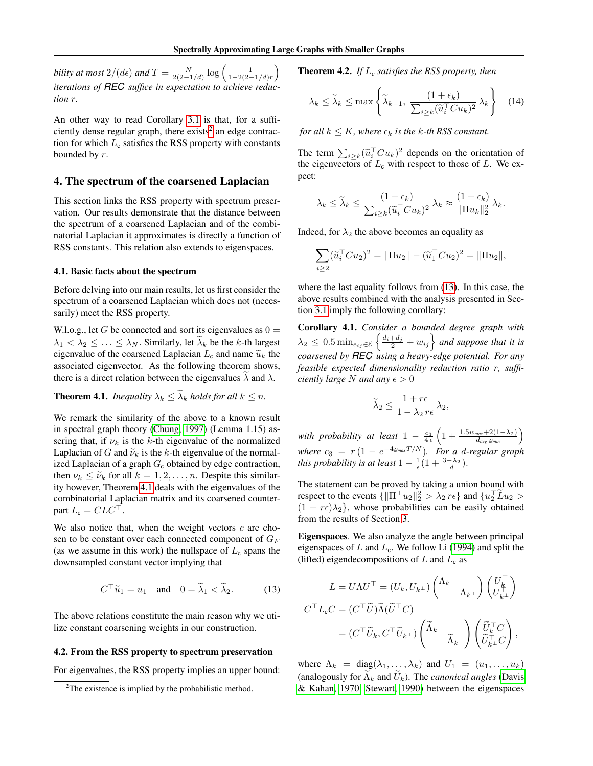*bility at most*  $2/(d\epsilon)$  *and*  $T = \frac{N}{2(2-1/d)} \log \left( \frac{1}{1-2(2-1/d)r} \right)$ *iterations of REC suffice in expectation to achieve reduction* r*.*

An other way to read Corollary [3.1](#page-4-1) is that, for a sufficiently dense regular graph, there  $exists<sup>2</sup>$  $exists<sup>2</sup>$  $exists<sup>2</sup>$  an edge contraction for which  $L_c$  satisfies the RSS property with constants bounded by r.

### <span id="page-5-0"></span>4. The spectrum of the coarsened Laplacian

This section links the RSS property with spectrum preservation. Our results demonstrate that the distance between the spectrum of a coarsened Laplacian and of the combinatorial Laplacian it approximates is directly a function of RSS constants. This relation also extends to eigenspaces.

#### 4.1. Basic facts about the spectrum

Before delving into our main results, let us first consider the spectrum of a coarsened Laplacian which does not (necessarily) meet the RSS property.

W.l.o.g., let G be connected and sort its eigenvalues as  $0 =$  $\lambda_1 < \lambda_2 \leq \ldots \leq \lambda_N$ . Similarly, let  $\lambda_k$  be the k-th largest eigenvalue of the coarsened Laplacian  $L_c$  and name  $\tilde{u}_k$  the associated eigenvector. As the following theorem shows, there is a direct relation between the eigenvalues  $\lambda$  and  $\lambda$ .

<span id="page-5-2"></span>**Theorem 4.1.** *Inequality*  $\lambda_k \leq \tilde{\lambda}_k$  *holds for all*  $k \leq n$ *.* 

We remark the similarity of the above to a known result in spectral graph theory [\(Chung, 1997\)](#page-8-15) (Lemma 1.15) assering that, if  $\nu_k$  is the k-th eigenvalue of the normalized Laplacian of G and  $\tilde{\nu}_k$  is the k-th eigenvalue of the normalized Laplacian of a graph  $G_c$  obtained by edge contraction, then  $\nu_k \leq \tilde{\nu}_k$  for all  $k = 1, 2, ..., n$ . Despite this similarity however, Theorem [4.1](#page-5-2) deals with the eigenvalues of the combinatorial Laplacian matrix and its coarsened counterpart  $L_c = CLC^{\perp}$ .

We also notice that, when the weight vectors  $c$  are chosen to be constant over each connected component of  $G_F$ (as we assume in this work) the nullspace of  $L_c$  spans the downsampled constant vector implying that

$$
C^{\top} \widetilde{u}_1 = u_1 \quad \text{and} \quad 0 = \widetilde{\lambda}_1 < \widetilde{\lambda}_2. \tag{13}
$$

The above relations constitute the main reason why we utilize constant coarsening weights in our construction.

#### 4.2. From the RSS property to spectrum preservation

For eigenvalues, the RSS property implies an upper bound:

Theorem 4.2. *If* L*<sup>c</sup> satisfies the RSS property, then*

$$
\lambda_k \le \widetilde{\lambda}_k \le \max\left\{ \widetilde{\lambda}_{k-1}, \ \frac{(1+\epsilon_k)}{\sum_{i \ge k} (\widetilde{u}_i^\top C u_k)^2} \lambda_k \right\} \quad (14)
$$

*for all*  $k \leq K$ *, where*  $\epsilon_k$  *is the k-th RSS constant.* 

The term  $\sum_{i \ge k} (\tilde{u}_i^\top C u_k)^2$  depends on the orientation of<br>the eigenvectors of L, with respect to those of L. We av the eigenvectors of  $L_c$  with respect to those of  $L$ . We expect:

$$
\lambda_k \leq \widetilde{\lambda}_k \leq \frac{(1+\epsilon_k)}{\sum_{i\geq k} (\widetilde{u}_i^\top C u_k)^2} \lambda_k \approx \frac{(1+\epsilon_k)}{\|\Pi u_k\|_2^2} \lambda_k.
$$

Indeed, for  $\lambda_2$  the above becomes an equality as

$$
\sum_{i\geq 2} (\widetilde{u}_i^\top C u_2)^2 = \|\Pi u_2\| - (\widetilde{u}_1^\top C u_2)^2 = \|\Pi u_2\|,
$$

where the last equality follows from [\(13\)](#page-5-3). In this case, the above results combined with the analysis presented in Section [3.1](#page-3-3) imply the following corollary:

Corollary 4.1. *Consider a bounded degree graph with*  $\lambda_2 \leq 0.5 \min_{e_{ij} \in \mathcal{E}} \left\{ \frac{d_i + d_j}{2} + w_{ij} \right\}$  and suppose that it is *coarsened by REC using a heavy-edge potential. For any feasible expected dimensionality reduction ratio* r*, sufficiently large* N *and any*  $\epsilon > 0$ 

$$
\widetilde{\lambda}_2 \le \frac{1 + r\epsilon}{1 - \lambda_2 r\epsilon} \lambda_2,
$$

*with probability at least*  $1 - \frac{c_3}{4\epsilon} \left(1 + \frac{1.5w_{max} + 2(1-\lambda_2)}{d_{avg\_{min}}} \right)$ *where*  $c_3 = r(1 - e^{-4\rho_{max}T/N})$ *. For a d-regular graph this probability is at least*  $1 - \frac{1}{\epsilon}(1 + \frac{3-\lambda_2}{d})$ .

The statement can be proved by taking a union bound with respect to the events  $\{\|\Pi^{\perp}u_2\|_2^2 > \lambda_2 r \epsilon\}$  and  $\{u_2^{\perp} \tilde{L}u_2 >$  $(1 + r\epsilon)\lambda_2$ , whose probabilities can be easily obtained from the results of Section [3.](#page-2-0)

Eigenspaces. We also analyze the angle between principal eigenspaces of  $L$  and  $L_c$ . We follow Li [\(1994\)](#page-8-19) and split the (lifted) eigendecompositions of  $L$  and  $L_c$  as

<span id="page-5-3"></span>
$$
L = U\Lambda U^{\top} = (U_k, U_{k^{\perp}}) \begin{pmatrix} \Lambda_k & \\ & \Lambda_{k^{\perp}} \end{pmatrix} \begin{pmatrix} U_k^{\top} \\ U_{k^{\perp}}^{\top} \end{pmatrix}
$$

$$
C^{\top} L_{\mathbf{c}} C = (C^{\top} \widetilde{U}) \widetilde{\Lambda} (\widetilde{U}^{\top} C)
$$

$$
= (C^{\top} \widetilde{U}_k, C^{\top} \widetilde{U}_{k^{\perp}}) \begin{pmatrix} \widetilde{\Lambda}_k & \\ & \widetilde{\Lambda}_{k^{\perp}} \end{pmatrix} \begin{pmatrix} \widetilde{U}_k^{\top} C \\ \widetilde{U}_{k^{\perp}}^{\top} C \end{pmatrix},
$$

where  $\Lambda_k = \text{diag}(\lambda_1, \dots, \lambda_k)$  and  $U_1 = (u_1, \dots, u_k)$ (analogously for  $\tilde{\Lambda}_k$  and  $\tilde{U}_k$ ). The *canonical angles* [\(Davis](#page-8-20) [& Kahan, 1970;](#page-8-20) [Stewart, 1990\)](#page-9-12) between the eigenspaces

<span id="page-5-1"></span> $2$ The existence is implied by the probabilistic method.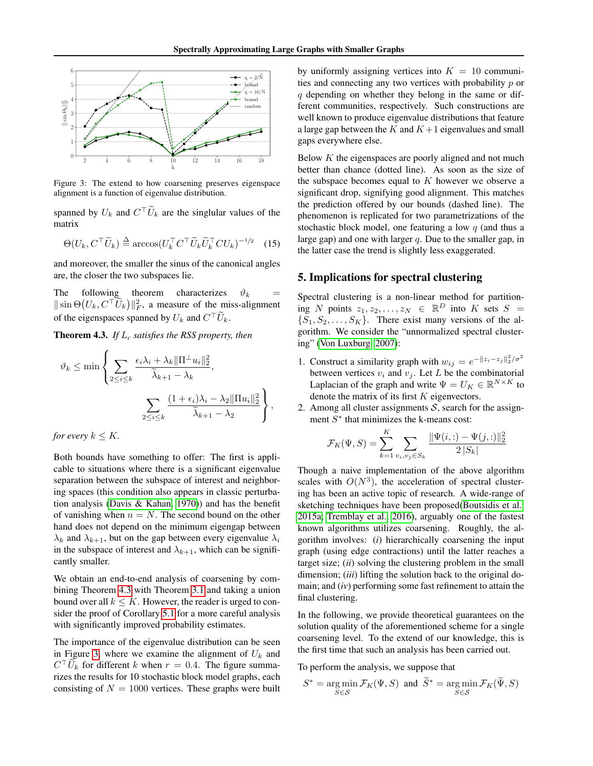<span id="page-6-2"></span>

Figure 3: The extend to how coarsening preserves eigenspace alignment is a function of eigenvalue distribution.

spanned by  $U_k$  and  $C^{\top} \widetilde{U}_k$  are the singlular values of the matrix

$$
\Theta(U_k, C^\top \widetilde{U}_k) \stackrel{\Delta}{=} \arccos(U_k^\top C^\top \widetilde{U}_k \widetilde{U}_k^\top C U_k)^{-1/2} \tag{15}
$$

and moreover, the smaller the sinus of the canonical angles are, the closer the two subspaces lie.

The following theorem characterizes  $\vartheta_k$  =  $\|\sin\Theta(U_k, C^\top \tilde{U}_k)\|_F^2$ , a measure of the miss-alignment of the eigenspaces spanned by  $U_k$  and  $C^{\top} \widetilde{U}_k$ .

<span id="page-6-1"></span>Theorem 4.3. *If* L*<sup>c</sup> satisfies the RSS property, then*

$$
\vartheta_k \le \min \left\{ \sum_{2 \le i \le k} \frac{\epsilon_i \lambda_i + \lambda_k \|\Pi^{\perp} u_i\|_2^2}{\widetilde{\lambda}_{k+1} - \lambda_k}, \frac{\sum_{2 \le i \le k} \frac{(1 + \epsilon_i)\lambda_i - \lambda_2 \|\Pi u_i\|_2^2}{\widetilde{\lambda}_{k+1} - \lambda_2} \right\},
$$

*for every*  $k \leq K$ *.* 

Both bounds have something to offer: The first is applicable to situations where there is a significant eigenvalue separation between the subspace of interest and neighboring spaces (this condition also appears in classic perturbation analysis [\(Davis & Kahan, 1970\)](#page-8-20)) and has the benefit of vanishing when  $n = N$ . The second bound on the other hand does not depend on the minimum eigengap between  $\lambda_k$  and  $\lambda_{k+1}$ , but on the gap between every eigenvalue  $\lambda_i$ in the subspace of interest and  $\lambda_{k+1}$ , which can be significantly smaller.

We obtain an end-to-end analysis of coarsening by combining Theorem [4.3](#page-6-1) with Theorem [3.1](#page-3-1) and taking a union bound over all  $k \leq K$ . However, the reader is urged to consider the proof of Corollary [5.1](#page-7-0) for a more careful analysis with significantly improved probability estimates.

The importance of the eigenvalue distribution can be seen in Figure [3,](#page-6-2) where we examine the alignment of  $U_k$  and  $C^{\top}U_k$  for different k when  $r = 0.4$ . The figure summarizes the results for 10 stochastic block model graphs, each consisting of  $N = 1000$  vertices. These graphs were built by uniformly assigning vertices into  $K = 10$  communities and connecting any two vertices with probability p or  $q$  depending on whether they belong in the same or different communities, respectively. Such constructions are well known to produce eigenvalue distributions that feature a large gap between the  $K$  and  $K+1$  eigenvalues and small gaps everywhere else.

Below  $K$  the eigenspaces are poorly aligned and not much better than chance (dotted line). As soon as the size of the subspace becomes equal to  $K$  however we observe a significant drop, signifying good alignment. This matches the prediction offered by our bounds (dashed line). The phenomenon is replicated for two parametrizations of the stochastic block model, one featuring a low  $q$  (and thus a large gap) and one with larger  $q$ . Due to the smaller gap, in the latter case the trend is slightly less exaggerated.

### <span id="page-6-0"></span>5. Implications for spectral clustering

Spectral clustering is a non-linear method for partitioning N points  $z_1, z_2, \ldots, z_N \in \mathbb{R}^D$  into K sets  $S =$  $\{S_1, S_2, \ldots, S_K\}$ . There exist many versions of the algorithm. We consider the "unnormalized spectral clustering" [\(Von Luxburg, 2007\)](#page-9-5):

- 1. Construct a similarity graph with  $w_{ij} = e^{-\|z_i z_j\|_2^2/\sigma^2}$ between vertices  $v_i$  and  $v_j$ . Let L be the combinatorial Laplacian of the graph and write  $\Psi = U_K \in \mathbb{R}^{N \times K}$  to denote the matrix of its first  $K$  eigenvectors.
- 2. Among all cluster assignments  $S$ , search for the assignment  $S^*$  that minimizes the k-means cost:

$$
\mathcal{F}_K(\Psi, S) = \sum_{k=1}^K \sum_{v_i, v_j \in S_k} \frac{\|\Psi(i, \cdot) - \Psi(j, \cdot)\|_2^2}{2\|S_k\|}
$$

Though a naive implementation of the above algorithm scales with  $O(N^3)$ , the acceleration of spectral clustering has been an active topic of research. A wide-range of sketching techniques have been proposed[\(Boutsidis et al.,](#page-8-21) [2015a;](#page-8-21) [Tremblay et al., 2016\)](#page-9-13), arguably one of the fastest known algorithms utilizes coarsening. Roughly, the algorithm involves: (*i*) hierarchically coarsening the input graph (using edge contractions) until the latter reaches a target size; (*ii*) solving the clustering problem in the small dimension; (*iii*) lifting the solution back to the original domain; and (*iv*) performing some fast refinement to attain the final clustering.

In the following, we provide theoretical guarantees on the solution quality of the aforementioned scheme for a single coarsening level. To the extend of our knowledge, this is the first time that such an analysis has been carried out.

To perform the analysis, we suppose that

$$
S^* = \underset{S \in \mathcal{S}}{\arg \min} \mathcal{F}_K(\Psi, S) \text{ and } \widetilde{S}^* = \underset{S \in \mathcal{S}}{\arg \min} \mathcal{F}_K(\widetilde{\Psi}, S)
$$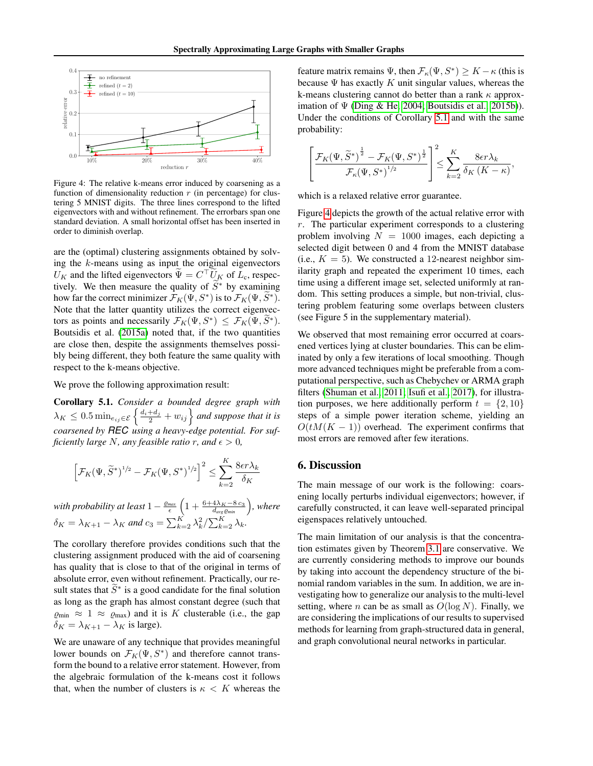<span id="page-7-1"></span>

Figure 4: The relative k-means error induced by coarsening as a function of dimensionality reduction  $r$  (in percentage) for clustering 5 MNIST digits. The three lines correspond to the lifted eigenvectors with and without refinement. The errorbars span one standard deviation. A small horizontal offset has been inserted in order to diminish overlap.

are the (optimal) clustering assignments obtained by solving the  $k$ -means using as input the original eigenvectors  $U_K$  and the lifted eigenvectors  $\tilde{\Psi} = C^\top \tilde{U}_K$  of  $L_c$ , respectively. We then measure the quality of  $\widetilde{S}^*$  by examining how far the correct minimizer  $\mathcal{F}_K(\Psi, S^*)$  is to  $\mathcal{F}_K(\Psi, \widetilde{S}^*)$ . Note that the latter quantity utilizes the correct eigenvectors as points and necessarily  $\mathcal{F}_K(\Psi, S^*) \leq \mathcal{F}_K(\Psi, \widetilde{S}^*)$ . Boutsidis et al. [\(2015a\)](#page-8-21) noted that, if the two quantities are close then, despite the assignments themselves possibly being different, they both feature the same quality with respect to the k-means objective.

<span id="page-7-0"></span>We prove the following approximation result:

Corollary 5.1. *Consider a bounded degree graph with*  $\lambda_K \leq 0.5 \min_{e_{ij} \in \mathcal{E}} \left\{ \frac{d_i + d_j}{2} + w_{ij} \right\}$  and suppose that it is *coarsened by REC using a heavy-edge potential. For sufficiently large* N, any feasible ratio r, and  $\epsilon > 0$ ,

$$
\left[\mathcal{F}_K(\Psi,\widetilde{S}^*)^{1/2} - \mathcal{F}_K(\Psi,S^*)^{1/2}\right]^2 \le \sum_{k=2}^K \frac{8\epsilon r \lambda_k}{\delta_K}
$$

*with probability at least*  $1 - \frac{\varrho_{max}}{\epsilon}\left(1 + \frac{6 + 4\lambda_K - 8\,c_3}{d_{avg}\varrho_{min}}\right)$ *, where*  $\delta_K = \lambda_{K+1} - \lambda_K$  and  $c_3 = \sum_{k=2}^K \lambda_k^2 / \sum_{k=2}^K \lambda_k$ .

The corollary therefore provides conditions such that the clustering assignment produced with the aid of coarsening has quality that is close to that of the original in terms of absolute error, even without refinement. Practically, our result states that  $\widetilde{S}^*$  is a good candidate for the final solution as long as the graph has almost constant degree (such that  $\varrho_{\rm min} \approx 1 \approx \varrho_{\rm max}$ ) and it is K clusterable (i.e., the gap  $\delta_K = \lambda_{K+1} - \lambda_K$  is large).

We are unaware of any technique that provides meaningful lower bounds on  $\mathcal{F}_K(\Psi, S^*)$  and therefore cannot transform the bound to a relative error statement. However, from the algebraic formulation of the k-means cost it follows that, when the number of clusters is  $\kappa < K$  whereas the

feature matrix remains  $\Psi$ , then  $\mathcal{F}_{\kappa}(\Psi, S^*) \geq K - \kappa$  (this is because  $\Psi$  has exactly K unit singular values, whereas the k-means clustering cannot do better than a rank  $\kappa$  approximation of  $\Psi$  [\(Ding & He, 2004;](#page-8-22) [Boutsidis et al., 2015b\)](#page-8-23)). Under the conditions of Corollary [5.1](#page-7-0) and with the same probability:

$$
\left[\frac{\mathcal{F}_K(\Psi,\widetilde{S}^*)^{\frac{1}{2}} - \mathcal{F}_K(\Psi,S^*)^{\frac{1}{2}}}{\mathcal{F}_\kappa(\Psi,S^*)^{1/2}}\right]^2 \leq \sum_{k=2}^K \frac{8\epsilon r \lambda_k}{\delta_K(K-\kappa)},
$$

which is a relaxed relative error guarantee.

Figure [4](#page-7-1) depicts the growth of the actual relative error with  $r$ . The particular experiment corresponds to a clustering problem involving  $N = 1000$  images, each depicting a selected digit between 0 and 4 from the MNIST database (i.e.,  $K = 5$ ). We constructed a 12-nearest neighbor similarity graph and repeated the experiment 10 times, each time using a different image set, selected uniformly at random. This setting produces a simple, but non-trivial, clustering problem featuring some overlaps between clusters (see Figure 5 in the supplementary material).

We observed that most remaining error occurred at coarsened vertices lying at cluster boundaries. This can be eliminated by only a few iterations of local smoothing. Though more advanced techniques might be preferable from a computational perspective, such as Chebychev or ARMA graph filters [\(Shuman et al., 2011;](#page-9-14) [Isufi et al., 2017\)](#page-8-24), for illustration purposes, we here additionally perform  $t = \{2, 10\}$ steps of a simple power iteration scheme, yielding an  $O(tM(K - 1))$  overhead. The experiment confirms that most errors are removed after few iterations.

## 6. Discussion

The main message of our work is the following: coarsening locally perturbs individual eigenvectors; however, if carefully constructed, it can leave well-separated principal eigenspaces relatively untouched.

The main limitation of our analysis is that the concentration estimates given by Theorem [3.1](#page-3-1) are conservative. We are currently considering methods to improve our bounds by taking into account the dependency structure of the binomial random variables in the sum. In addition, we are investigating how to generalize our analysis to the multi-level setting, where *n* can be as small as  $O(\log N)$ . Finally, we are considering the implications of our results to supervised methods for learning from graph-structured data in general, and graph convolutional neural networks in particular.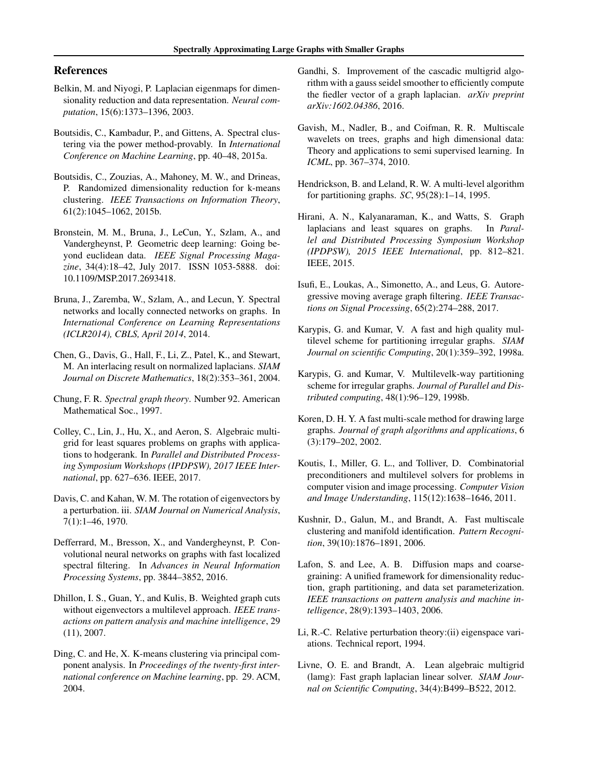# References

- <span id="page-8-17"></span>Belkin, M. and Niyogi, P. Laplacian eigenmaps for dimensionality reduction and data representation. *Neural computation*, 15(6):1373–1396, 2003.
- <span id="page-8-21"></span>Boutsidis, C., Kambadur, P., and Gittens, A. Spectral clustering via the power method-provably. In *International Conference on Machine Learning*, pp. 40–48, 2015a.
- <span id="page-8-23"></span>Boutsidis, C., Zouzias, A., Mahoney, M. W., and Drineas, P. Randomized dimensionality reduction for k-means clustering. *IEEE Transactions on Information Theory*, 61(2):1045–1062, 2015b.
- <span id="page-8-9"></span>Bronstein, M. M., Bruna, J., LeCun, Y., Szlam, A., and Vandergheynst, P. Geometric deep learning: Going beyond euclidean data. *IEEE Signal Processing Magazine*, 34(4):18–42, July 2017. ISSN 1053-5888. doi: 10.1109/MSP.2017.2693418.
- <span id="page-8-7"></span>Bruna, J., Zaremba, W., Szlam, A., and Lecun, Y. Spectral networks and locally connected networks on graphs. In *International Conference on Learning Representations (ICLR2014), CBLS, April 2014*, 2014.
- <span id="page-8-16"></span>Chen, G., Davis, G., Hall, F., Li, Z., Patel, K., and Stewart, M. An interlacing result on normalized laplacians. *SIAM Journal on Discrete Mathematics*, 18(2):353–361, 2004.
- <span id="page-8-15"></span>Chung, F. R. *Spectral graph theory*. Number 92. American Mathematical Soc., 1997.
- <span id="page-8-14"></span>Colley, C., Lin, J., Hu, X., and Aeron, S. Algebraic multigrid for least squares problems on graphs with applications to hodgerank. In *Parallel and Distributed Processing Symposium Workshops (IPDPSW), 2017 IEEE International*, pp. 627–636. IEEE, 2017.
- <span id="page-8-20"></span>Davis, C. and Kahan, W. M. The rotation of eigenvectors by a perturbation. iii. *SIAM Journal on Numerical Analysis*, 7(1):1–46, 1970.
- <span id="page-8-8"></span>Defferrard, M., Bresson, X., and Vandergheynst, P. Convolutional neural networks on graphs with fast localized spectral filtering. In *Advances in Neural Information Processing Systems*, pp. 3844–3852, 2016.
- <span id="page-8-3"></span>Dhillon, I. S., Guan, Y., and Kulis, B. Weighted graph cuts without eigenvectors a multilevel approach. *IEEE transactions on pattern analysis and machine intelligence*, 29 (11), 2007.
- <span id="page-8-22"></span>Ding, C. and He, X. K-means clustering via principal component analysis. In *Proceedings of the twenty-first international conference on Machine learning*, pp. 29. ACM, 2004.
- <span id="page-8-12"></span>Gandhi, S. Improvement of the cascadic multigrid algorithm with a gauss seidel smoother to efficiently compute the fiedler vector of a graph laplacian. *arXiv preprint arXiv:1602.04386*, 2016.
- <span id="page-8-6"></span>Gavish, M., Nadler, B., and Coifman, R. R. Multiscale wavelets on trees, graphs and high dimensional data: Theory and applications to semi supervised learning. In *ICML*, pp. 367–374, 2010.
- <span id="page-8-0"></span>Hendrickson, B. and Leland, R. W. A multi-level algorithm for partitioning graphs. *SC*, 95(28):1–14, 1995.
- <span id="page-8-13"></span>Hirani, A. N., Kalyanaraman, K., and Watts, S. Graph laplacians and least squares on graphs. In *Parallel and Distributed Processing Symposium Workshop (IPDPSW), 2015 IEEE International*, pp. 812–821. IEEE, 2015.
- <span id="page-8-24"></span>Isufi, E., Loukas, A., Simonetto, A., and Leus, G. Autoregressive moving average graph filtering. *IEEE Transactions on Signal Processing*, 65(2):274–288, 2017.
- <span id="page-8-1"></span>Karypis, G. and Kumar, V. A fast and high quality multilevel scheme for partitioning irregular graphs. *SIAM Journal on scientific Computing*, 20(1):359–392, 1998a.
- <span id="page-8-18"></span>Karypis, G. and Kumar, V. Multilevelk-way partitioning scheme for irregular graphs. *Journal of Parallel and Distributed computing*, 48(1):96–129, 1998b.
- <span id="page-8-4"></span>Koren, D. H. Y. A fast multi-scale method for drawing large graphs. *Journal of graph algorithms and applications*, 6 (3):179–202, 2002.
- <span id="page-8-10"></span>Koutis, I., Miller, G. L., and Tolliver, D. Combinatorial preconditioners and multilevel solvers for problems in computer vision and image processing. *Computer Vision and Image Understanding*, 115(12):1638–1646, 2011.
- <span id="page-8-2"></span>Kushnir, D., Galun, M., and Brandt, A. Fast multiscale clustering and manifold identification. *Pattern Recognition*, 39(10):1876–1891, 2006.
- <span id="page-8-5"></span>Lafon, S. and Lee, A. B. Diffusion maps and coarsegraining: A unified framework for dimensionality reduction, graph partitioning, and data set parameterization. *IEEE transactions on pattern analysis and machine intelligence*, 28(9):1393–1403, 2006.
- <span id="page-8-19"></span>Li, R.-C. Relative perturbation theory:(ii) eigenspace variations. Technical report, 1994.
- <span id="page-8-11"></span>Livne, O. E. and Brandt, A. Lean algebraic multigrid (lamg): Fast graph laplacian linear solver. *SIAM Journal on Scientific Computing*, 34(4):B499–B522, 2012.